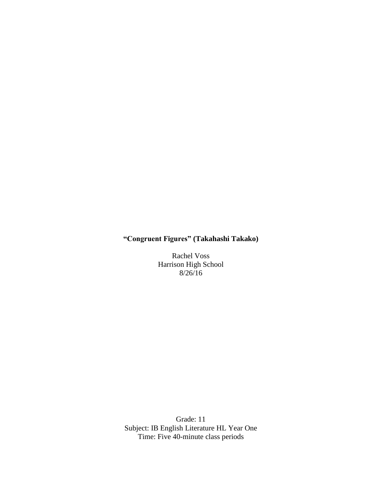# **"Congruent Figures" (Takahashi Takako)**

Rachel Voss Harrison High School 8/26/16

Grade: 11 Subject: IB English Literature HL Year One Time: Five 40-minute class periods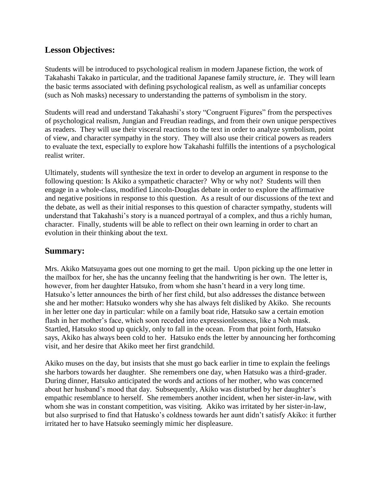# **Lesson Objectives:**

Students will be introduced to psychological realism in modern Japanese fiction, the work of Takahashi Takako in particular, and the traditional Japanese family structure, *ie*. They will learn the basic terms associated with defining psychological realism, as well as unfamiliar concepts (such as Noh masks) necessary to understanding the patterns of symbolism in the story.

Students will read and understand Takahashi's story "Congruent Figures" from the perspectives of psychological realism, Jungian and Freudian readings, and from their own unique perspectives as readers. They will use their visceral reactions to the text in order to analyze symbolism, point of view, and character sympathy in the story. They will also use their critical powers as readers to evaluate the text, especially to explore how Takahashi fulfills the intentions of a psychological realist writer.

Ultimately, students will synthesize the text in order to develop an argument in response to the following question: Is Akiko a sympathetic character? Why or why not? Students will then engage in a whole-class, modified Lincoln-Douglas debate in order to explore the affirmative and negative positions in response to this question. As a result of our discussions of the text and the debate, as well as their initial responses to this question of character sympathy, students will understand that Takahashi's story is a nuanced portrayal of a complex, and thus a richly human, character. Finally, students will be able to reflect on their own learning in order to chart an evolution in their thinking about the text.

# **Summary:**

Mrs. Akiko Matsuyama goes out one morning to get the mail. Upon picking up the one letter in the mailbox for her, she has the uncanny feeling that the handwriting is her own. The letter is, however, from her daughter Hatsuko, from whom she hasn't heard in a very long time. Hatsuko's letter announces the birth of her first child, but also addresses the distance between she and her mother: Hatsuko wonders why she has always felt disliked by Akiko. She recounts in her letter one day in particular: while on a family boat ride, Hatsuko saw a certain emotion flash in her mother's face, which soon receded into expressionlessness, like a Noh mask. Startled, Hatsuko stood up quickly, only to fall in the ocean. From that point forth, Hatsuko says, Akiko has always been cold to her. Hatsuko ends the letter by announcing her forthcoming visit, and her desire that Akiko meet her first grandchild.

Akiko muses on the day, but insists that she must go back earlier in time to explain the feelings she harbors towards her daughter. She remembers one day, when Hatsuko was a third-grader. During dinner, Hatsuko anticipated the words and actions of her mother, who was concerned about her husband's mood that day. Subsequently, Akiko was disturbed by her daughter's empathic resemblance to herself. She remembers another incident, when her sister-in-law, with whom she was in constant competition, was visiting. Akiko was irritated by her sister-in-law, but also surprised to find that Hatusko's coldness towards her aunt didn't satisfy Akiko: it further irritated her to have Hatsuko seemingly mimic her displeasure.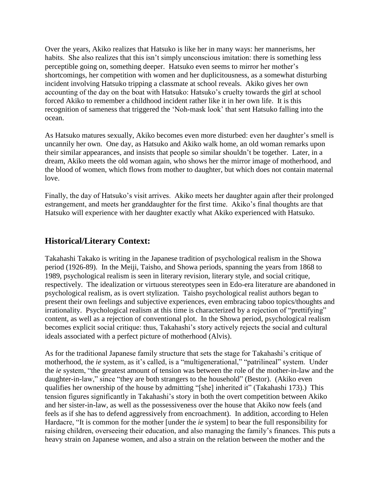Over the years, Akiko realizes that Hatsuko is like her in many ways: her mannerisms, her habits. She also realizes that this isn't simply unconscious imitation: there is something less perceptible going on, something deeper. Hatsuko even seems to mirror her mother's shortcomings, her competition with women and her duplicitousness, as a somewhat disturbing incident involving Hatsuko tripping a classmate at school reveals. Akiko gives her own accounting of the day on the boat with Hatsuko: Hatsuko's cruelty towards the girl at school forced Akiko to remember a childhood incident rather like it in her own life. It is this recognition of sameness that triggered the 'Noh-mask look' that sent Hatsuko falling into the ocean.

As Hatsuko matures sexually, Akiko becomes even more disturbed: even her daughter's smell is uncannily her own. One day, as Hatsuko and Akiko walk home, an old woman remarks upon their similar appearances, and insists that people so similar shouldn't be together. Later, in a dream, Akiko meets the old woman again, who shows her the mirror image of motherhood, and the blood of women, which flows from mother to daughter, but which does not contain maternal love.

Finally, the day of Hatsuko's visit arrives. Akiko meets her daughter again after their prolonged estrangement, and meets her granddaughter for the first time. Akiko's final thoughts are that Hatsuko will experience with her daughter exactly what Akiko experienced with Hatsuko.

# **Historical/Literary Context:**

Takahashi Takako is writing in the Japanese tradition of psychological realism in the Showa period (1926-89). In the Meiji, Taisho, and Showa periods, spanning the years from 1868 to 1989, psychological realism is seen in literary revision, literary style, and social critique, respectively. The idealization or virtuous stereotypes seen in Edo-era literature are abandoned in psychological realism, as is overt stylization. Taisho psychological realist authors began to present their own feelings and subjective experiences, even embracing taboo topics/thoughts and irrationality. Psychological realism at this time is characterized by a rejection of "prettifying" content, as well as a rejection of conventional plot. In the Showa period, psychological realism becomes explicit social critique: thus, Takahashi's story actively rejects the social and cultural ideals associated with a perfect picture of motherhood (Alvis).

As for the traditional Japanese family structure that sets the stage for Takahashi's critique of motherhood, the *ie* system, as it's called, is a "multigenerational," "patrilineal" system. Under the *ie* system, "the greatest amount of tension was between the role of the mother-in-law and the daughter-in-law," since "they are both strangers to the household" (Bestor). (Akiko even qualifies her ownership of the house by admitting "[she] inherited it" (Takahashi 173).) This tension figures significantly in Takahashi's story in both the overt competition between Akiko and her sister-in-law, as well as the possessiveness over the house that Akiko now feels (and feels as if she has to defend aggressively from encroachment). In addition, according to Helen Hardacre, "It is common for the mother [under the *ie* system] to bear the full responsibility for raising children, overseeing their education, and also managing the family's finances. This puts a heavy strain on Japanese women, and also a strain on the relation between the mother and the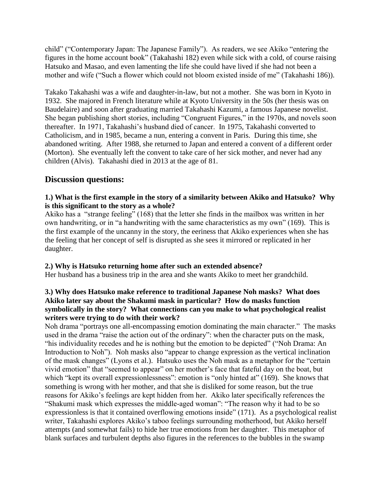child" ("Contemporary Japan: The Japanese Family"). As readers, we see Akiko "entering the figures in the home account book" (Takahashi 182) even while sick with a cold, of course raising Hatsuko and Masao, and even lamenting the life she could have lived if she had not been a mother and wife ("Such a flower which could not bloom existed inside of me" (Takahashi 186)).

Takako Takahashi was a wife and daughter-in-law, but not a mother. She was born in Kyoto in 1932. She majored in French literature while at Kyoto University in the 50s (her thesis was on Baudelaire) and soon after graduating married Takahashi Kazumi, a famous Japanese novelist. She began publishing short stories, including "Congruent Figures," in the 1970s, and novels soon thereafter. In 1971, Takahashi's husband died of cancer. In 1975, Takahashi converted to Catholicism, and in 1985, became a nun, entering a convent in Paris. During this time, she abandoned writing. After 1988, she returned to Japan and entered a convent of a different order (Morton). She eventually left the convent to take care of her sick mother, and never had any children (Alvis). Takahashi died in 2013 at the age of 81.

### **Discussion questions:**

### **1.) What is the first example in the story of a similarity between Akiko and Hatsuko? Why is this significant to the story as a whole?**

Akiko has a "strange feeling" (168) that the letter she finds in the mailbox was written in her own handwriting, or in "a handwriting with the same characteristics as my own" (169). This is the first example of the uncanny in the story, the eeriness that Akiko experiences when she has the feeling that her concept of self is disrupted as she sees it mirrored or replicated in her daughter.

### **2.) Why is Hatsuko returning home after such an extended absence?**

Her husband has a business trip in the area and she wants Akiko to meet her grandchild.

### **3.) Why does Hatsuko make reference to traditional Japanese Noh masks? What does Akiko later say about the Shakumi mask in particular? How do masks function symbolically in the story? What connections can you make to what psychological realist writers were trying to do with their work?**

Noh drama "portrays one all-encompassing emotion dominating the main character." The masks used in the drama "raise the action out of the ordinary": when the character puts on the mask, "his individuality recedes and he is nothing but the emotion to be depicted" ("Noh Drama: An Introduction to Noh"). Noh masks also "appear to change expression as the vertical inclination of the mask changes" (Lyons et al.). Hatsuko uses the Noh mask as a metaphor for the "certain vivid emotion" that "seemed to appear" on her mother's face that fateful day on the boat, but which "kept its overall expressionlessness": emotion is "only hinted at" (169). She knows that something is wrong with her mother, and that she is disliked for some reason, but the true reasons for Akiko's feelings are kept hidden from her. Akiko later specifically references the "Shakumi mask which expresses the middle-aged woman": "The reason why it had to be so expressionless is that it contained overflowing emotions inside" (171). As a psychological realist writer, Takahashi explores Akiko's taboo feelings surrounding motherhood, but Akiko herself attempts (and somewhat fails) to hide her true emotions from her daughter. This metaphor of blank surfaces and turbulent depths also figures in the references to the bubbles in the swamp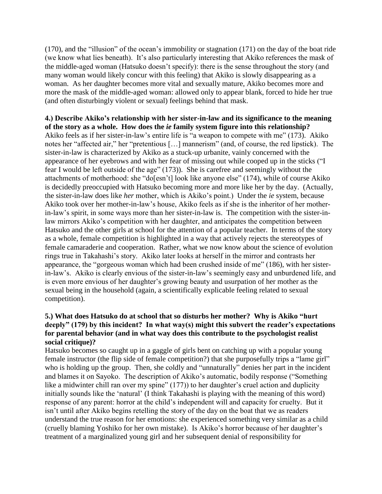(170), and the "illusion" of the ocean's immobility or stagnation (171) on the day of the boat ride (we know what lies beneath). It's also particularly interesting that Akiko references the mask of the middle-aged woman (Hatsuko doesn't specify): there is the sense throughout the story (and many woman would likely concur with this feeling) that Akiko is slowly disappearing as a woman. As her daughter becomes more vital and sexually mature, Akiko becomes more and more the mask of the middle-aged woman: allowed only to appear blank, forced to hide her true (and often disturbingly violent or sexual) feelings behind that mask.

### **4.) Describe Akiko's relationship with her sister-in-law and its significance to the meaning of the story as a whole. How does the** *ie* **family system figure into this relationship?** Akiko feels as if her sister-in-law's entire life is "a weapon to compete with me" (173). Akiko notes her "affected air," her "pretentious […] mannerism" (and, of course, the red lipstick). The sister-in-law is characterized by Akiko as a stuck-up urbanite, vainly concerned with the appearance of her eyebrows and with her fear of missing out while cooped up in the sticks ("I fear I would be left outside of the age" (173)). She is carefree and seemingly without the attachments of motherhood: she "do[esn't] look like anyone else" (174), while of course Akiko is decidedly preoccupied with Hatsuko becoming more and more like her by the day. (Actually, the sister-in-law does like *her* mother, which is Akiko's point.) Under the *ie* system, because Akiko took over her mother-in-law's house, Akiko feels as if she is the inheritor of her motherin-law's spirit, in some ways more than her sister-in-law is. The competition with the sister-inlaw mirrors Akiko's competition with her daughter, and anticipates the competition between Hatsuko and the other girls at school for the attention of a popular teacher. In terms of the story as a whole, female competition is highlighted in a way that actively rejects the stereotypes of female camaraderie and cooperation. Rather, what we now know about the science of evolution rings true in Takahashi's story. Akiko later looks at herself in the mirror and contrasts her appearance, the "gorgeous woman which had been crushed inside of me" (186), with her sisterin-law's. Akiko is clearly envious of the sister-in-law's seemingly easy and unburdened life, and is even more envious of her daughter's growing beauty and usurpation of her mother as the sexual being in the household (again, a scientifically explicable feeling related to sexual competition).

### **5.) What does Hatsuko do at school that so disturbs her mother? Why is Akiko "hurt deeply" (179) by this incident? In what way(s) might this subvert the reader's expectations for parental behavior (and in what way does this contribute to the psychologist realist social critique)?**

Hatsuko becomes so caught up in a gaggle of girls bent on catching up with a popular young female instructor (the flip side of female competition?) that she purposefully trips a "lame girl" who is holding up the group. Then, she coldly and "unnaturally" denies her part in the incident and blames it on Sayoko. The description of Akiko's automatic, bodily response ("Something like a midwinter chill ran over my spine" (177)) to her daughter's cruel action and duplicity initially sounds like the 'natural' (I think Takahashi is playing with the meaning of this word) response of any parent: horror at the child's independent will and capacity for cruelty. But it isn't until after Akiko begins retelling the story of the day on the boat that we as readers understand the true reason for her emotions: she experienced something very similar as a child (cruelly blaming Yoshiko for her own mistake). Is Akiko's horror because of her daughter's treatment of a marginalized young girl and her subsequent denial of responsibility for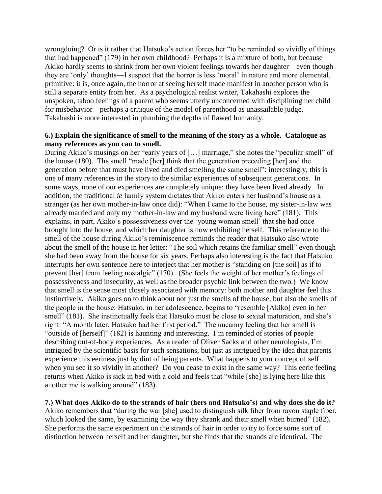wrongdoing? Or is it rather that Hatsuko's action forces her "to be reminded so vividly of things that had happened" (179) in her own childhood? Perhaps it is a mixture of both, but because Akiko hardly seems to shrink from her own violent feelings towards her daughter—even though they are 'only' thoughts—I suspect that the horror is less 'moral' in nature and more elemental, primitive: it is, once again, the horror at seeing herself made manifest in another person who is still a separate entity from her. As a psychological realist writer, Takahashi explores the unspoken, taboo feelings of a parent who seems utterly unconcerned with disciplining her child for misbehavior—perhaps a critique of the model of parenthood as unassailable judge. Takahashi is more interested in plumbing the depths of flawed humanity.

#### **6.) Explain the significance of smell to the meaning of the story as a whole. Catalogue as many references as you can to smell.**

During Akiko's musings on her "early years of […] marriage," she notes the "peculiar smell" of the house (180). The smell "made [her] think that the generation preceding [her] and the generation before that must have lived and died smelling the same smell": interestingly, this is one of many references in the story to the similar experiences of subsequent generations. In some ways, none of our experiences are completely unique: they have been lived already. In addition, the traditional *ie* family system dictates that Akiko enters her husband's house as a stranger (as her own mother-in-law once did): "When I came to the house, my sister-in-law was already married and only my mother-in-law and my husband were living here" (181). This explains, in part, Akiko's possessiveness over the 'young woman smell' that she had once brought into the house, and which her daughter is now exhibiting herself. This reference to the smell of the house during Akiko's reminiscence reminds the reader that Hatsuko also wrote about the smell of the house in her letter: "The soil which retains the familiar smell" even though she had been away from the house for six years. Perhaps also interesting is the fact that Hatsuko interrupts her own sentence here to interject that her mother is "standing on [the soil] as if to prevent [her] from feeling nostalgic" (170). (She feels the weight of her mother's feelings of possessiveness and insecurity, as well as the broader psychic link between the two.) We know that smell is the sense most closely associated with memory: both mother and daughter feel this instinctively. Akiko goes on to think about not just the smells of the house, but also the smells of the people in the house: Hatsuko, in her adolescence, begins to "resemble [Akiko] even in her smell" (181). She instinctually feels that Hatsuko must be close to sexual maturation, and she's right: "A month later, Hatsuko had her first period." The uncanny feeling that her smell is "outside of [herself]" (182) is haunting and interesting. I'm reminded of stories of people describing out-of-body experiences. As a reader of Oliver Sacks and other neurologists, I'm intrigued by the scientific basis for such sensations, but just as intrigued by the idea that parents experience this eeriness just by dint of being parents. What happens to your concept of self when you see it so vividly in another? Do you cease to exist in the same way? This eerie feeling returns when Akiko is sick in bed with a cold and feels that "while [she] is lying here like this another me is walking around" (183).

**7.) What does Akiko do to the strands of hair (hers and Hatsuko's) and why does she do it?** Akiko remembers that "during the war [she] used to distinguish silk fiber from rayon staple fiber, which looked the same, by examining the way they shrank and their smell when burned" (182). She performs the same experiment on the strands of hair in order to try to force some sort of distinction between herself and her daughter, but she finds that the strands are identical. The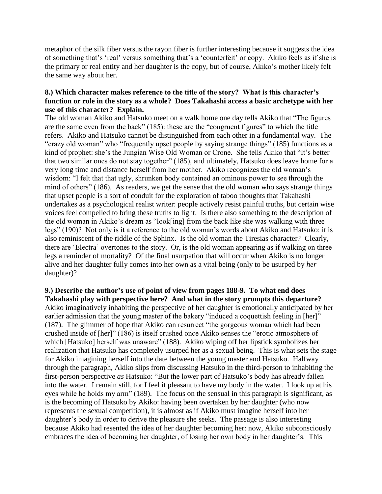metaphor of the silk fiber versus the rayon fiber is further interesting because it suggests the idea of something that's 'real' versus something that's a 'counterfeit' or copy. Akiko feels as if she is the primary or real entity and her daughter is the copy, but of course, Akiko's mother likely felt the same way about her.

### **8.) Which character makes reference to the title of the story? What is this character's function or role in the story as a whole? Does Takahashi access a basic archetype with her use of this character? Explain.**

The old woman Akiko and Hatsuko meet on a walk home one day tells Akiko that "The figures are the same even from the back" (185): these are the "congruent figures" to which the title refers. Akiko and Hatsuko cannot be distinguished from each other in a fundamental way. The "crazy old woman" who "frequently upset people by saying strange things" (185) functions as a kind of prophet: she's the Jungian Wise Old Woman or Crone. She tells Akiko that "It's better that two similar ones do not stay together" (185), and ultimately, Hatsuko does leave home for a very long time and distance herself from her mother. Akiko recognizes the old woman's wisdom: "I felt that that ugly, shrunken body contained an ominous power to see through the mind of others" (186). As readers, we get the sense that the old woman who says strange things that upset people is a sort of conduit for the exploration of taboo thoughts that Takahashi undertakes as a psychological realist writer: people actively resist painful truths, but certain wise voices feel compelled to bring these truths to light. Is there also something to the description of the old woman in Akiko's dream as "look[ing] from the back like she was walking with three legs" (190)? Not only is it a reference to the old woman's words about Akiko and Hatsuko: it is also reminiscent of the riddle of the Sphinx. Is the old woman the Tiresias character? Clearly, there are 'Electra' overtones to the story. Or, is the old woman appearing as if walking on three legs a reminder of mortality? Of the final usurpation that will occur when Akiko is no longer alive and her daughter fully comes into her own as a vital being (only to be usurped by *her* daughter)?

**9.) Describe the author's use of point of view from pages 188-9. To what end does Takahashi play with perspective here? And what in the story prompts this departure?** Akiko imaginatively inhabiting the perspective of her daughter is emotionally anticipated by her earlier admission that the young master of the bakery "induced a coquettish feeling in [her]" (187). The glimmer of hope that Akiko can resurrect "the gorgeous woman which had been crushed inside of [her]" (186) is itself crushed once Akiko senses the "erotic atmosphere of which [Hatsuko] herself was unaware" (188). Akiko wiping off her lipstick symbolizes her realization that Hatsuko has completely usurped her as a sexual being. This is what sets the stage for Akiko imagining herself into the date between the young master and Hatsuko. Halfway through the paragraph, Akiko slips from discussing Hatsuko in the third-person to inhabiting the first-person perspective *as* Hatsuko: "But the lower part of Hatsuko's body has already fallen into the water. I remain still, for I feel it pleasant to have my body in the water. I look up at his eyes while he holds my arm" (189). The focus on the sensual in this paragraph is significant, as is the becoming of Hatsuko by Akiko: having been overtaken by her daughter (who now represents the sexual competition), it is almost as if Akiko must imagine herself into her daughter's body in order to derive the pleasure she seeks. The passage is also interesting because Akiko had resented the idea of her daughter becoming her: now, Akiko subconsciously embraces the idea of becoming her daughter, of losing her own body in her daughter's. This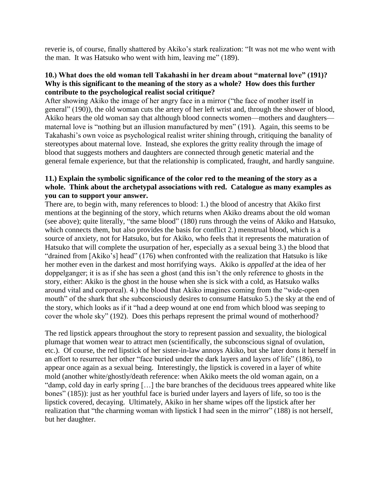reverie is, of course, finally shattered by Akiko's stark realization: "It was not me who went with the man. It was Hatsuko who went with him, leaving me" (189).

### **10.) What does the old woman tell Takahashi in her dream about "maternal love" (191)? Why is this significant to the meaning of the story as a whole? How does this further contribute to the psychological realist social critique?**

After showing Akiko the image of her angry face in a mirror ("the face of mother itself in general" (190)), the old woman cuts the artery of her left wrist and, through the shower of blood, Akiko hears the old woman say that although blood connects women—mothers and daughters maternal love is "nothing but an illusion manufactured by men" (191). Again, this seems to be Takahashi's own voice as psychological realist writer shining through, critiquing the banality of stereotypes about maternal love. Instead, she explores the gritty reality through the image of blood that suggests mothers and daughters are connected through genetic material and the general female experience, but that the relationship is complicated, fraught, and hardly sanguine.

### **11.) Explain the symbolic significance of the color red to the meaning of the story as a whole. Think about the archetypal associations with red. Catalogue as many examples as you can to support your answer.**

There are, to begin with, many references to blood: 1.) the blood of ancestry that Akiko first mentions at the beginning of the story, which returns when Akiko dreams about the old woman (see above); quite literally, "the same blood" (180) runs through the veins of Akiko and Hatsuko, which connects them, but also provides the basis for conflict 2.) menstrual blood, which is a source of anxiety, not for Hatsuko, but for Akiko, who feels that it represents the maturation of Hatsuko that will complete the usurpation of her, especially as a sexual being 3.) the blood that "drained from [Akiko's] head" (176) when confronted with the realization that Hatsuko is like her mother even in the darkest and most horrifying ways. Akiko is *appalled* at the idea of her doppelganger; it is as if she has seen a ghost (and this isn't the only reference to ghosts in the story, either: Akiko is the ghost in the house when she is sick with a cold, as Hatsuko walks around vital and corporeal). 4.) the blood that Akiko imagines coming from the "wide-open mouth" of the shark that she subconsciously desires to consume Hatsuko 5.) the sky at the end of the story, which looks as if it "had a deep wound at one end from which blood was seeping to cover the whole sky" (192). Does this perhaps represent the primal wound of motherhood?

The red lipstick appears throughout the story to represent passion and sexuality, the biological plumage that women wear to attract men (scientifically, the subconscious signal of ovulation, etc.). Of course, the red lipstick of her sister-in-law annoys Akiko, but she later dons it herself in an effort to resurrect her other "face buried under the dark layers and layers of life" (186), to appear once again as a sexual being. Interestingly, the lipstick is covered in a layer of white mold (another white/ghostly/death reference: when Akiko meets the old woman again, on a "damp, cold day in early spring […] the bare branches of the deciduous trees appeared white like bones" (185)): just as her youthful face is buried under layers and layers of life, so too is the lipstick covered, decaying. Ultimately, Akiko in her shame wipes off the lipstick after her realization that "the charming woman with lipstick I had seen in the mirror" (188) is not herself, but her daughter.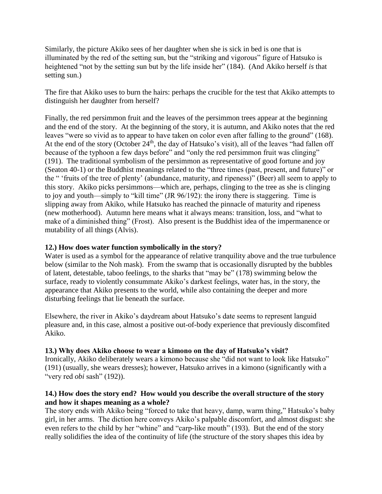Similarly, the picture Akiko sees of her daughter when she is sick in bed is one that is illuminated by the red of the setting sun, but the "striking and vigorous" figure of Hatsuko is heightened "not by the setting sun but by the life inside her" (184). (And Akiko herself *is* that setting sun.)

The fire that Akiko uses to burn the hairs: perhaps the crucible for the test that Akiko attempts to distinguish her daughter from herself?

Finally, the red persimmon fruit and the leaves of the persimmon trees appear at the beginning and the end of the story. At the beginning of the story, it is autumn, and Akiko notes that the red leaves "were so vivid as to appear to have taken on color even after falling to the ground" (168). At the end of the story (October  $24<sup>th</sup>$ , the day of Hatsuko's visit), all of the leaves "had fallen off because of the typhoon a few days before" and "only the red persimmon fruit was clinging" (191). The traditional symbolism of the persimmon as representative of good fortune and joy (Seaton 40-1) or the Buddhist meanings related to the "three times (past, present, and future)" or the " 'fruits of the tree of plenty' (abundance, maturity, and ripeness)" (Beer) all seem to apply to this story. Akiko picks persimmons—which are, perhaps, clinging to the tree as she is clinging to joy and youth—simply to "kill time" (JR 96/192): the irony there is staggering. Time is slipping away from Akiko, while Hatsuko has reached the pinnacle of maturity and ripeness (new motherhood). Autumn here means what it always means: transition, loss, and "what to make of a diminished thing" (Frost). Also present is the Buddhist idea of the impermanence or mutability of all things (Alvis).

### **12.) How does water function symbolically in the story?**

Water is used as a symbol for the appearance of relative tranquility above and the true turbulence below (similar to the Noh mask). From the swamp that is occasionally disrupted by the bubbles of latent, detestable, taboo feelings, to the sharks that "may be" (178) swimming below the surface, ready to violently consummate Akiko's darkest feelings, water has, in the story, the appearance that Akiko presents to the world, while also containing the deeper and more disturbing feelings that lie beneath the surface.

Elsewhere, the river in Akiko's daydream about Hatsuko's date seems to represent languid pleasure and, in this case, almost a positive out-of-body experience that previously discomfited Akiko.

#### **13.) Why does Akiko choose to wear a kimono on the day of Hatsuko's visit?**

Ironically, Akiko deliberately wears a kimono because she "did not want to look like Hatsuko" (191) (usually, she wears dresses); however, Hatsuko arrives in a kimono (significantly with a "very red *obi* sash" (192)).

### **14.) How does the story end? How would you describe the overall structure of the story and how it shapes meaning as a whole?**

The story ends with Akiko being "forced to take that heavy, damp, warm thing," Hatsuko's baby girl, in her arms. The diction here conveys Akiko's palpable discomfort, and almost disgust: she even refers to the child by her "whine" and "carp-like mouth" (193). But the end of the story really solidifies the idea of the continuity of life (the structure of the story shapes this idea by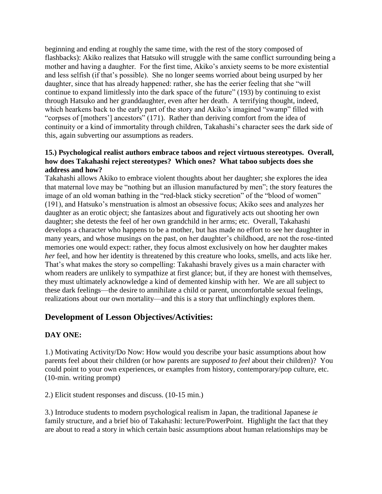beginning and ending at roughly the same time, with the rest of the story composed of flashbacks): Akiko realizes that Hatsuko will struggle with the same conflict surrounding being a mother and having a daughter. For the first time, Akiko's anxiety seems to be more existential and less selfish (if that's possible). She no longer seems worried about being usurped by her daughter, since that has already happened: rather, she has the eerier feeling that she "will continue to expand limitlessly into the dark space of the future" (193) by continuing to exist through Hatsuko and her granddaughter, even after her death. A terrifying thought, indeed, which hearkens back to the early part of the story and Akiko's imagined "swamp" filled with "corpses of [mothers'] ancestors" (171). Rather than deriving comfort from the idea of continuity or a kind of immortality through children, Takahashi's character sees the dark side of this, again subverting our assumptions as readers.

### **15.) Psychological realist authors embrace taboos and reject virtuous stereotypes. Overall, how does Takahashi reject stereotypes? Which ones? What taboo subjects does she address and how?**

Takahashi allows Akiko to embrace violent thoughts about her daughter; she explores the idea that maternal love may be "nothing but an illusion manufactured by men"; the story features the image of an old woman bathing in the "red-black sticky secretion" of the "blood of women" (191), and Hatsuko's menstruation is almost an obsessive focus; Akiko sees and analyzes her daughter as an erotic object; she fantasizes about and figuratively acts out shooting her own daughter; she detests the feel of her own grandchild in her arms; etc. Overall, Takahashi develops a character who happens to be a mother, but has made no effort to see her daughter in many years, and whose musings on the past, on her daughter's childhood, are not the rose-tinted memories one would expect: rather, they focus almost exclusively on how her daughter makes *her* feel, and how her identity is threatened by this creature who looks, smells, and acts like her. That's what makes the story so compelling: Takahashi bravely gives us a main character with whom readers are unlikely to sympathize at first glance; but, if they are honest with themselves, they must ultimately acknowledge a kind of demented kinship with her. We are all subject to these dark feelings—the desire to annihilate a child or parent, uncomfortable sexual feelings, realizations about our own mortality—and this is a story that unflinchingly explores them.

# **Development of Lesson Objectives/Activities:**

### **DAY ONE:**

1.) Motivating Activity/Do Now: How would you describe your basic assumptions about how parents feel about their children (or how parents are *supposed to feel* about their children)? You could point to your own experiences, or examples from history, contemporary/pop culture, etc. (10-min. writing prompt)

2.) Elicit student responses and discuss. (10-15 min.)

3.) Introduce students to modern psychological realism in Japan, the traditional Japanese *ie* family structure, and a brief bio of Takahashi: lecture/PowerPoint. Highlight the fact that they are about to read a story in which certain basic assumptions about human relationships may be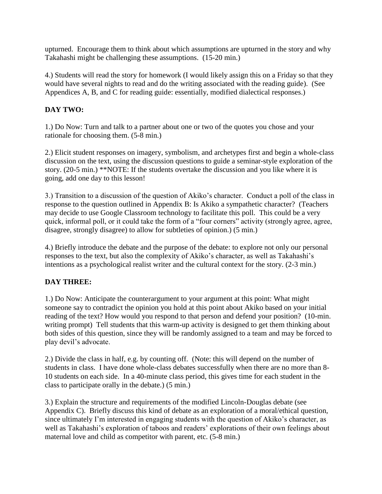upturned. Encourage them to think about which assumptions are upturned in the story and why Takahashi might be challenging these assumptions. (15-20 min.)

4.) Students will read the story for homework (I would likely assign this on a Friday so that they would have several nights to read and do the writing associated with the reading guide). (See Appendices A, B, and C for reading guide: essentially, modified dialectical responses.)

# **DAY TWO:**

1.) Do Now: Turn and talk to a partner about one or two of the quotes you chose and your rationale for choosing them. (5-8 min.)

2.) Elicit student responses on imagery, symbolism, and archetypes first and begin a whole-class discussion on the text, using the discussion questions to guide a seminar-style exploration of the story. (20-5 min.) \*\*NOTE: If the students overtake the discussion and you like where it is going, add one day to this lesson!

3.) Transition to a discussion of the question of Akiko's character. Conduct a poll of the class in response to the question outlined in Appendix B: Is Akiko a sympathetic character? (Teachers may decide to use Google Classroom technology to facilitate this poll. This could be a very quick, informal poll, or it could take the form of a "four corners" activity (strongly agree, agree, disagree, strongly disagree) to allow for subtleties of opinion.) (5 min.)

4.) Briefly introduce the debate and the purpose of the debate: to explore not only our personal responses to the text, but also the complexity of Akiko's character, as well as Takahashi's intentions as a psychological realist writer and the cultural context for the story. (2-3 min.)

# **DAY THREE:**

1.) Do Now: Anticipate the counterargument to your argument at this point: What might someone say to contradict the opinion you hold at this point about Akiko based on your initial reading of the text? How would you respond to that person and defend your position? (10-min. writing prompt) Tell students that this warm-up activity is designed to get them thinking about both sides of this question, since they will be randomly assigned to a team and may be forced to play devil's advocate.

2.) Divide the class in half, e.g. by counting off. (Note: this will depend on the number of students in class. I have done whole-class debates successfully when there are no more than 8- 10 students on each side. In a 40-minute class period, this gives time for each student in the class to participate orally in the debate.) (5 min.)

3.) Explain the structure and requirements of the modified Lincoln-Douglas debate (see Appendix C). Briefly discuss this kind of debate as an exploration of a moral/ethical question, since ultimately I'm interested in engaging students with the question of Akiko's character, as well as Takahashi's exploration of taboos and readers' explorations of their own feelings about maternal love and child as competitor with parent, etc. (5-8 min.)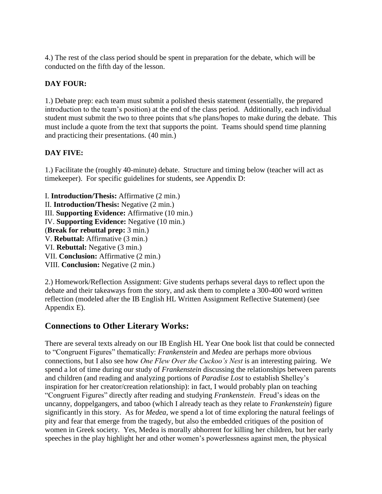4.) The rest of the class period should be spent in preparation for the debate, which will be conducted on the fifth day of the lesson.

### **DAY FOUR:**

1.) Debate prep: each team must submit a polished thesis statement (essentially, the prepared introduction to the team's position) at the end of the class period. Additionally, each individual student must submit the two to three points that s/he plans/hopes to make during the debate. This must include a quote from the text that supports the point. Teams should spend time planning and practicing their presentations. (40 min.)

### **DAY FIVE:**

1.) Facilitate the (roughly 40-minute) debate. Structure and timing below (teacher will act as timekeeper). For specific guidelines for students, see Appendix D:

I. **Introduction/Thesis:** Affirmative (2 min.) II. **Introduction/Thesis:** Negative (2 min.) III. **Supporting Evidence:** Affirmative (10 min.) IV. **Supporting Evidence:** Negative (10 min.) (**Break for rebuttal prep:** 3 min.) V. **Rebuttal:** Affirmative (3 min.) VI. **Rebuttal:** Negative (3 min.) VII. **Conclusion:** Affirmative (2 min.) VIII. **Conclusion:** Negative (2 min.)

2.) Homework/Reflection Assignment: Give students perhaps several days to reflect upon the debate and their takeaways from the story, and ask them to complete a 300-400 word written reflection (modeled after the IB English HL Written Assignment Reflective Statement) (see Appendix E).

# **Connections to Other Literary Works:**

There are several texts already on our IB English HL Year One book list that could be connected to "Congruent Figures" thematically: *Frankenstein* and *Medea* are perhaps more obvious connections, but I also see how *One Flew Over the Cuckoo's Nest* is an interesting pairing. We spend a lot of time during our study of *Frankenstein* discussing the relationships between parents and children (and reading and analyzing portions of *Paradise Lost* to establish Shelley's inspiration for her creator/creation relationship): in fact, I would probably plan on teaching "Congruent Figures" directly after reading and studying *Frankenstein*. Freud's ideas on the uncanny, doppelgangers, and taboo (which I already teach as they relate to *Frankenstein*) figure significantly in this story. As for *Medea*, we spend a lot of time exploring the natural feelings of pity and fear that emerge from the tragedy, but also the embedded critiques of the position of women in Greek society. Yes, Medea is morally abhorrent for killing her children, but her early speeches in the play highlight her and other women's powerlessness against men, the physical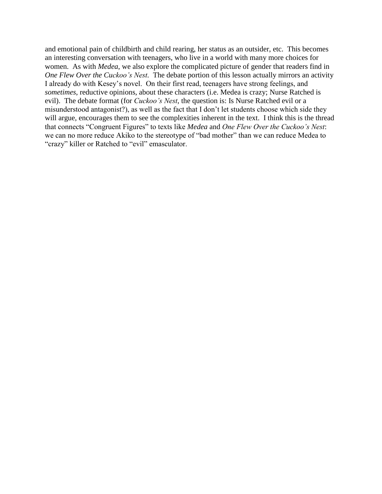and emotional pain of childbirth and child rearing, her status as an outsider, etc. This becomes an interesting conversation with teenagers, who live in a world with many more choices for women. As with *Medea*, we also explore the complicated picture of gender that readers find in *One Flew Over the Cuckoo's Nest.* The debate portion of this lesson actually mirrors an activity I already do with Kesey's novel. On their first read, teenagers have strong feelings, and *sometimes*, reductive opinions, about these characters (i.e. Medea is crazy; Nurse Ratched is evil). The debate format (for *Cuckoo's Nest*, the question is: Is Nurse Ratched evil or a misunderstood antagonist?), as well as the fact that I don't let students choose which side they will argue, encourages them to see the complexities inherent in the text. I think this is the thread that connects "Congruent Figures" to texts like *Medea* and *One Flew Over the Cuckoo's Nest*: we can no more reduce Akiko to the stereotype of "bad mother" than we can reduce Medea to "crazy" killer or Ratched to "evil" emasculator.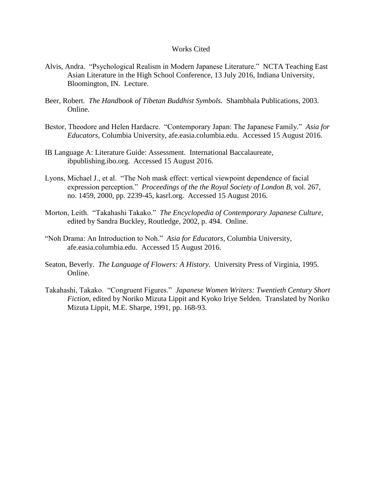#### Works Cited

- Alvis, Andra. "Psychological Realism in Modern Japanese Literature." NCTA Teaching East Asian Literature in the High School Conference, 13 July 2016, Indiana University, Bloomington, IN. Lecture.
- Beer, Robert. *The Handbook of Tibetan Buddhist Symbols.* Shambhala Publications, 2003. Online.
- Bestor, Theodore and Helen Hardacre. "Contemporary Japan: The Japanese Family." *Asia for Educators,* Columbia University, afe.easia.columbia.edu. Accessed 15 August 2016.
- IB Language A: Literature Guide: Assessment. International Baccalaureate, ibpublishing.ibo.org. Accessed 15 August 2016.
- Lyons, Michael J., et al. "The Noh mask effect: vertical viewpoint dependence of facial expression perception." *Proceedings of the the Royal Society of London B,* vol. 267, no. 1459, 2000, pp. 2239-45, kasrl.org. Accessed 15 August 2016.
- Morton, Leith. "Takahashi Takako." *The Encyclopedia of Contemporary Japanese Culture,* edited by Sandra Buckley, Routledge, 2002, p. 494. Online.
- "Noh Drama: An Introduction to Noh." *Asia for Educators,* Columbia University, afe.easia.columbia.edu. Accessed 15 August 2016.
- Seaton, Beverly. *The Language of Flowers: A History.* University Press of Virginia, 1995. Online.
- Takahashi, Takako. "Congruent Figures." *Japanese Women Writers: Twentieth Century Short Fiction,* edited by Noriko Mizuta Lippit and Kyoko Iriye Selden. Translated by Noriko Mizuta Lippit, M.E. Sharpe, 1991, pp. 168-93.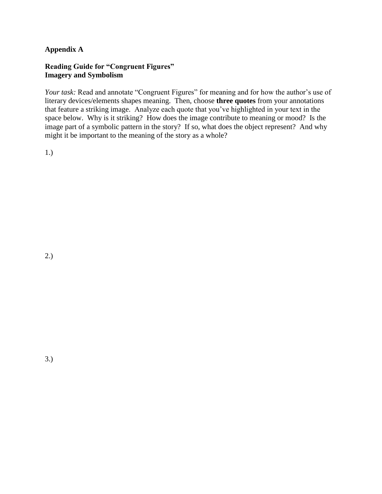### **Appendix A**

### **Reading Guide for "Congruent Figures" Imagery and Symbolism**

*Your task:* Read and annotate "Congruent Figures" for meaning and for how the author's use of literary devices/elements shapes meaning. Then, choose **three quotes** from your annotations that feature a striking image. Analyze each quote that you've highlighted in your text in the space below. Why is it striking? How does the image contribute to meaning or mood? Is the image part of a symbolic pattern in the story? If so, what does the object represent? And why might it be important to the meaning of the story as a whole?

1.)

2.)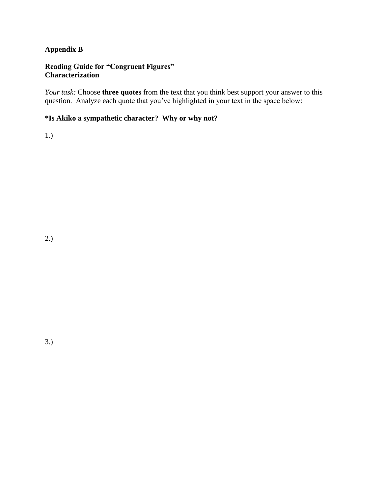### **Appendix B**

### **Reading Guide for "Congruent Figures" Characterization**

*Your task:* Choose **three quotes** from the text that you think best support your answer to this question. Analyze each quote that you've highlighted in your text in the space below:

### **\*Is Akiko a sympathetic character? Why or why not?**

1.)

3.)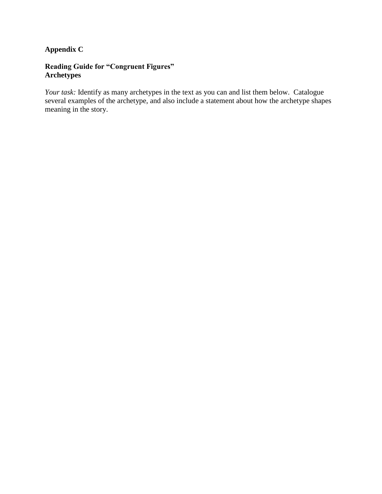### **Appendix C**

### **Reading Guide for "Congruent Figures" Archetypes**

*Your task:* Identify as many archetypes in the text as you can and list them below. Catalogue several examples of the archetype, and also include a statement about how the archetype shapes meaning in the story.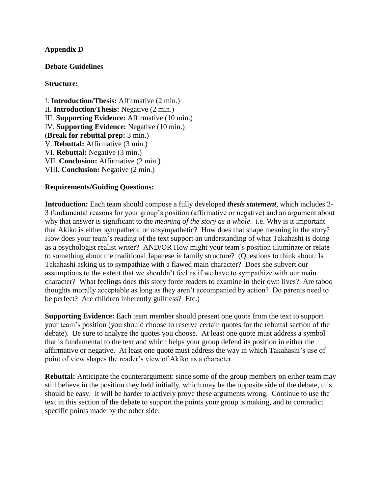### **Appendix D**

### **Debate Guidelines**

### **Structure:**

I. **Introduction/Thesis:** Affirmative (2 min.) II. **Introduction/Thesis:** Negative (2 min.) III. **Supporting Evidence:** Affirmative (10 min.) IV. **Supporting Evidence:** Negative (10 min.) (**Break for rebuttal prep:** 3 min.) V. **Rebuttal:** Affirmative (3 min.) VI. **Rebuttal:** Negative (3 min.) VII. **Conclusion:** Affirmative (2 min.) VIII. **Conclusion:** Negative (2 min.)

### **Requirements/Guiding Questions:**

**Introduction:** Each team should compose a fully developed *thesis statement*, which includes 2- 3 fundamental reasons for your group's position (affirmative or negative) and an argument about why that answer is significant to the *meaning of the story as a whole*. i.e. Why is it important that Akiko is either sympathetic or unsympathetic? How does that shape meaning in the story? How does your team's reading of the text support an understanding of what Takahashi is doing as a psychologist realist writer? AND/OR How might your team's position illuminate or relate to something about the traditional Japanese *ie* family structure? (Questions to think about: Is Takahashi asking us to sympathize with a flawed main character? Does she subvert our assumptions to the extent that we shouldn't feel as if we have to sympathize with our main character? What feelings does this story force readers to examine in their own lives? Are taboo thoughts morally acceptable as long as they aren't accompanied by action? Do parents need to be perfect? Are children inherently guiltless? Etc.)

**Supporting Evidence:** Each team member should present one quote from the text to support your team's position (you should choose to reserve certain quotes for the rebuttal section of the debate). Be sure to analyze the quotes you choose. At least one quote must address a symbol that is fundamental to the text and which helps your group defend its position in either the affirmative or negative. At least one quote must address the way in which Takahashi's use of point of view shapes the reader's view of Akiko as a character.

**Rebuttal:** Anticipate the counterargument: since some of the group members on either team may still believe in the position they held initially, which may be the opposite side of the debate, this should be easy. It will be harder to actively prove these arguments wrong. Continue to use the text in this section of the debate to support the points your group is making, and to contradict specific points made by the other side.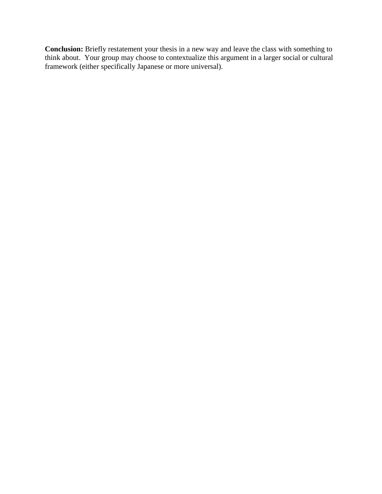**Conclusion:** Briefly restatement your thesis in a new way and leave the class with something to think about. Your group may choose to contextualize this argument in a larger social or cultural framework (either specifically Japanese or more universal).